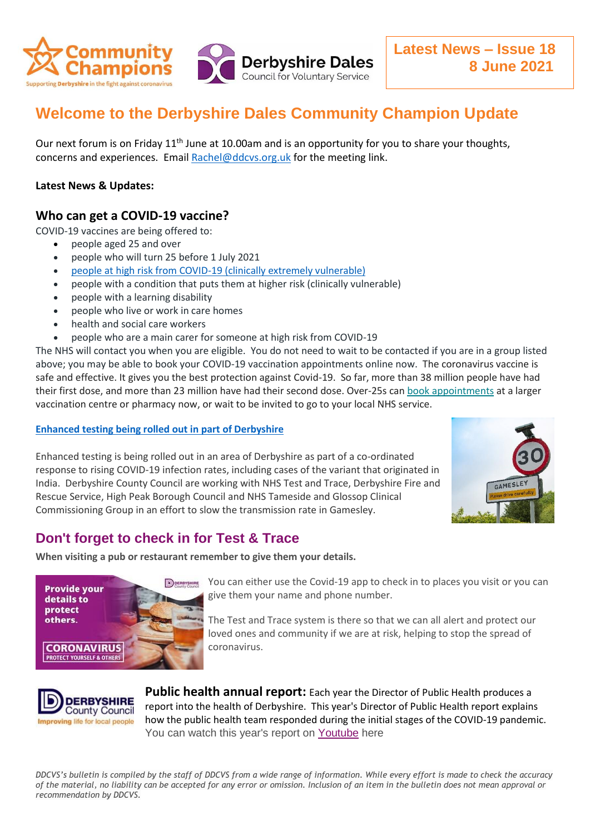

# **Welcome to the Derbyshire Dales Community Champion Update**

Our next forum is on Friday 11<sup>th</sup> June at 10.00am and is an opportunity for you to share your thoughts, concerns and experiences. Email [Rachel@ddcvs.org.uk](mailto:Rachel@ddcvs.org.uk) for the meeting link.

#### **Latest News & Updates:**

### **Who can get a COVID-19 vaccine?**

COVID-19 vaccines are being offered to:

- people aged 25 and over
- people who will turn 25 before 1 July 2021
- [people at high risk from COVID-19 \(clinically extremely vulnerable\)](https://www.nhs.uk/conditions/coronavirus-covid-19/people-at-higher-risk/who-is-at-high-risk-from-coronavirus-clinically-extremely-vulnerable/)
- people with a condition that puts them at higher risk (clinically vulnerable)
- people with a learning disability
- people who live or work in care homes
- health and social care workers
- people who are a main carer for someone at high risk from COVID-19

The NHS will contact you when you are eligible. You do not need to wait to be contacted if you are in a group listed above; you may be able to book your COVID-19 vaccination appointments online now. The coronavirus vaccine is safe and effective. It gives you the best protection against Covid-19. So far, more than 38 million people have had their first dose, and more than 23 million have had their second dose. Over-25s can [book appointments](https://lnks.gd/l/eyJhbGciOiJIUzI1NiJ9.eyJidWxsZXRpbl9saW5rX2lkIjoxMDMsInVyaSI6ImJwMjpjbGljayIsImJ1bGxldGluX2lkIjoiMjAyMTA2MDMuNDE0MjcwMzEiLCJ1cmwiOiJodHRwczovL3d3dy5uaHMudWsvY29uZGl0aW9ucy9jb3JvbmF2aXJ1cy1jb3ZpZC0xOS9jb3JvbmF2aXJ1cy12YWNjaW5hdGlvbi9ib29rLWNvcm9uYXZpcnVzLXZhY2NpbmF0aW9uLyJ9.38EhScgtrlDSnoUkH6va2JrdYhxD-DC-YFJ8_wxCfHE/s/1504191508/br/107394780296-l) at a larger vaccination centre or pharmacy now, or wait to be invited to go to your local NHS service.

#### **[Enhanced testing being rolled out in part of Derbyshire](https://www.derbyshire.gov.uk/council/news-events/news-updates/news/enhanced-testing-being-rolled-out-in-part-of-derbyshire.aspx)**

Enhanced testing is being rolled out in an area of Derbyshire as part of a co-ordinated response to rising COVID-19 infection rates, including cases of the variant that originated in India. Derbyshire County Council are working with NHS Test and Trace, Derbyshire Fire and Rescue Service, High Peak Borough Council and NHS Tameside and Glossop Clinical Commissioning Group in an effort to slow the transmission rate in Gamesley.



## **Don't forget to check in for Test & Trace**

**When visiting a pub or restaurant remember to give them your details.**



You can either use the Covid-19 app to check in to places you visit or you can give them your name and phone number.

The Test and Trace system is there so that we can all alert and protect our loved ones and community if we are at risk, helping to stop the spread of coronavirus.



**Public health annual report:** Each year the Director of Public Health produces a report into the health of Derbyshire. This year's Director of Public Health report explains how the public health team responded during the initial stages of the COVID-19 pandemic. You can watch this year's report on [Youtube](https://lnks.gd/l/eyJhbGciOiJIUzI1NiJ9.eyJidWxsZXRpbl9saW5rX2lkIjoxMDYsInVyaSI6ImJwMjpjbGljayIsImJ1bGxldGluX2lkIjoiMjAyMTA2MDMuNDE0MjcwMzEiLCJ1cmwiOiJodHRwczovL3d3dy55b3V0dWJlLmNvbS93YXRjaD92PW91OGpYMmUzVEJNIn0.OLQlzxzumAPE29Tsd90VYRHd_Opl-ynzzBl7XlS1CFY/s/796336729/br/107394776741-l) here

*DDCVS's bulletin is compiled by the staff of DDCVS from a wide range of information. While every effort is made to check the accuracy of the material, no liability can be accepted for any error or omission. Inclusion of an item in the bulletin does not mean approval or recommendation by DDCVS.*